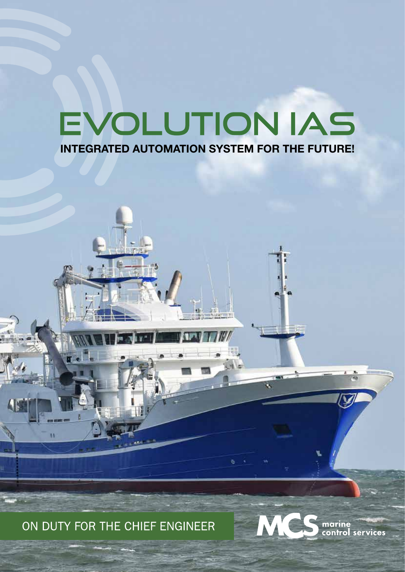# EVOLUTION IAS **INTEGRATED AUTOMATION SYSTEM FOR THE FUTURE!**

ON DUTY FOR THE CHIEF ENGINEER

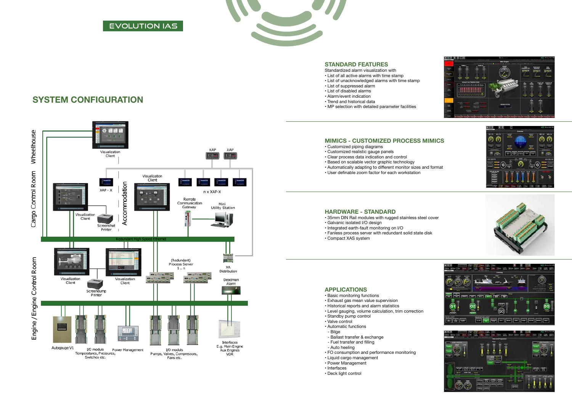### **SYSTEM CONFIGURATION**



### EVOLUTION IAS



### **STANDARD FEATURES**

Standardized alarm visualization with

- List of all active alarms with time stamp
- List of unacknowledged alarms with time stamp
- List of suppressed alarm
- List of disabled alarms
- Alarm/event indication
- Trend and historical data
- MP selection with detailed parameter facilities

### **MIMICS - CUSTOMIZED PROCESS MIMICS**

- Customized piping diagrams
- Customized realistic gauge panels
- Clear process data indication and control
- Based on scalable vector graphic technology
- Automatically adapting to different monitor sizes and format
- User definable zoom factor for each workstation

#### **HARDWARE - STANDARD**

- 35mm DIN Rail modules with rugged stainless steel cover
- Galvanic isolated I/O design
- Integrated earth-fault monitoring on I/O
- Fanless process server with redundant solid state disk
- Compact XAS system

#### **APPLICATIONS**

- Basic monitoring functions
- Exhaust gas mean value supervision
- Historical reports and alarm statistics
- Level gauging, volume calculation, trim correction
- Standby pump control
- Valve control
- Automatic functions - Bilge
- 
- Ballast transfer & exchange - Fuel transfer and filling
- Auto heeling
- FO consumption and performance monitoring
- Liquid cargo management
- Power Management
- Interfaces
- Deck light control



e Θ